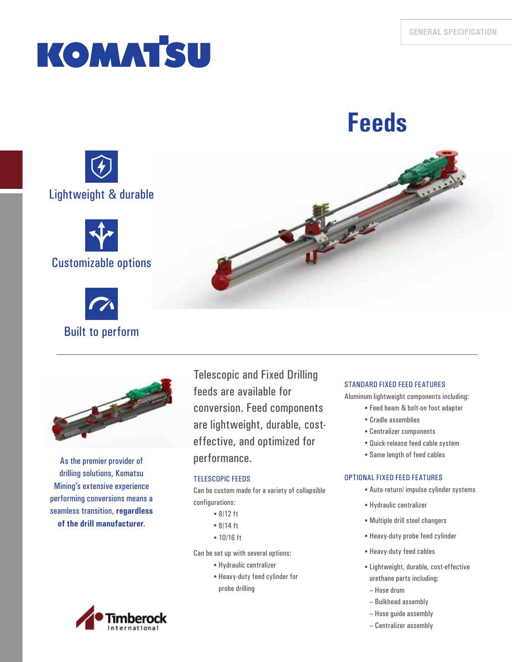# **KOMATSU**







Built to perform

As the premier provider of drilling solutions, Komatsu Mining's extensive experience performing conversions means a seamless transition, **regardless of the drill manufacturer**.

Telescopic and Fixed Drilling feeds are available for conversion. Feed components are lightweight, durable, costeffective, and optimized for performance.

## TELESCOPIC FEEDS

Can be custom made for a variety of collapsible configurations:

- 8/12 ft
- 8/14 ft
- 10/16 ft

Can be set up with several options:

- Hydraulic centralizer
- Heavy-duty feed cylinder for probe drilling

# STANDARD FIXED FEED FEATURES

Aluminum lightweight components including:

- Feed beam & bolt-on foot adapter
- Cradle assemblies
- Centralizer components
- Quick-release feed cable system
- Same length of feed cables

### OPTIONAL FIXED FEED FEATURES

- Auto-return/ impulse cylinder systems
- Hydraulic centralizer
- Multiple drill steel changers
- Heavy-duty probe feed cylinder
- Heavy-duty feed cables
- Lightweight, durable, cost-effective urethane parts including:
- Hose drum
- Bulkhead assembly
- Hose guide assembly
- Centralizer assembly